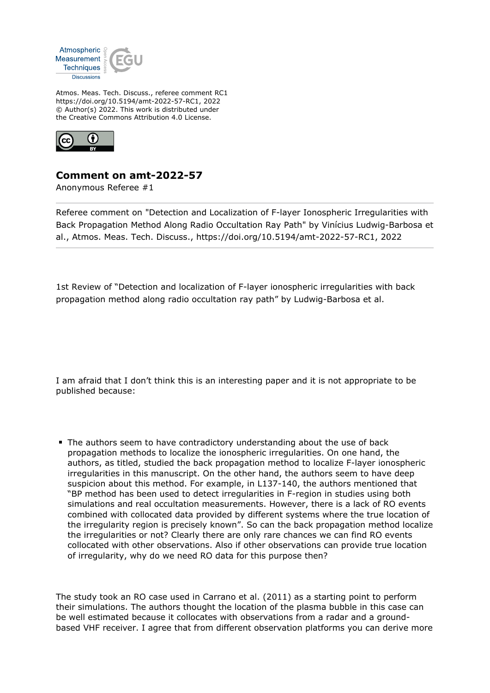

Atmos. Meas. Tech. Discuss., referee comment RC1 https://doi.org/10.5194/amt-2022-57-RC1, 2022 © Author(s) 2022. This work is distributed under the Creative Commons Attribution 4.0 License.



## **Comment on amt-2022-57**

Anonymous Referee #1

Referee comment on "Detection and Localization of F-layer Ionospheric Irregularities with Back Propagation Method Along Radio Occultation Ray Path" by Vinícius Ludwig-Barbosa et al., Atmos. Meas. Tech. Discuss., https://doi.org/10.5194/amt-2022-57-RC1, 2022

1st Review of "Detection and localization of F-layer ionospheric irregularities with back propagation method along radio occultation ray path" by Ludwig-Barbosa et al.

I am afraid that I don't think this is an interesting paper and it is not appropriate to be published because:

The authors seem to have contradictory understanding about the use of back propagation methods to localize the ionospheric irregularities. On one hand, the authors, as titled, studied the back propagation method to localize F-layer ionospheric irregularities in this manuscript. On the other hand, the authors seem to have deep suspicion about this method. For example, in L137-140, the authors mentioned that "BP method has been used to detect irregularities in F-region in studies using both simulations and real occultation measurements. However, there is a lack of RO events combined with collocated data provided by different systems where the true location of the irregularity region is precisely known". So can the back propagation method localize the irregularities or not? Clearly there are only rare chances we can find RO events collocated with other observations. Also if other observations can provide true location of irregularity, why do we need RO data for this purpose then?

The study took an RO case used in Carrano et al. (2011) as a starting point to perform their simulations. The authors thought the location of the plasma bubble in this case can be well estimated because it collocates with observations from a radar and a groundbased VHF receiver. I agree that from different observation platforms you can derive more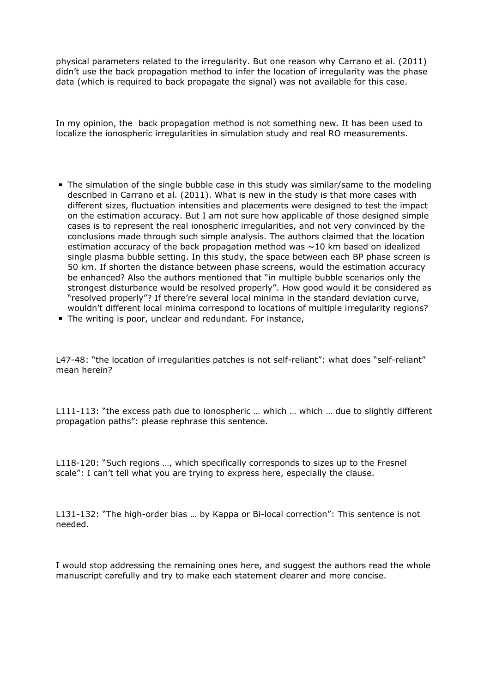physical parameters related to the irregularity. But one reason why Carrano et al. (2011) didn't use the back propagation method to infer the location of irregularity was the phase data (which is required to back propagate the signal) was not available for this case.

In my opinion, the back propagation method is not something new. It has been used to localize the ionospheric irregularities in simulation study and real RO measurements.

- The simulation of the single bubble case in this study was similar/same to the modeling described in Carrano et al. (2011). What is new in the study is that more cases with different sizes, fluctuation intensities and placements were designed to test the impact on the estimation accuracy. But I am not sure how applicable of those designed simple cases is to represent the real ionospheric irregularities, and not very convinced by the conclusions made through such simple analysis. The authors claimed that the location estimation accuracy of the back propagation method was  $\sim$  10 km based on idealized single plasma bubble setting. In this study, the space between each BP phase screen is 50 km. If shorten the distance between phase screens, would the estimation accuracy be enhanced? Also the authors mentioned that "in multiple bubble scenarios only the strongest disturbance would be resolved properly". How good would it be considered as "resolved properly"? If there're several local minima in the standard deviation curve, wouldn't different local minima correspond to locations of multiple irregularity regions?
- The writing is poor, unclear and redundant. For instance,

L47-48: "the location of irregularities patches is not self-reliant": what does "self-reliant" mean herein?

L111-113: "the excess path due to ionospheric ... which ... which ... due to slightly different propagation paths": please rephrase this sentence.

L118-120: "Such regions …, which specifically corresponds to sizes up to the Fresnel scale": I can't tell what you are trying to express here, especially the clause.

L131-132: "The high-order bias … by Kappa or Bi-local correction": This sentence is not needed.

I would stop addressing the remaining ones here, and suggest the authors read the whole manuscript carefully and try to make each statement clearer and more concise.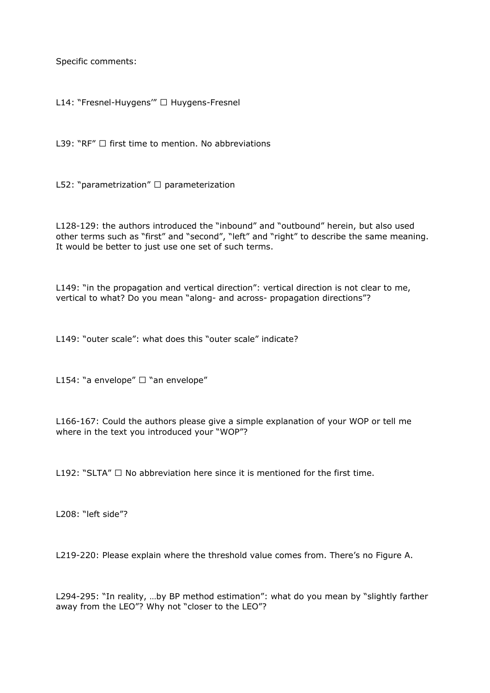Specific comments:

L14: "Fresnel-Huygens'" □ Huygens-Fresnel

L39: "RF"  $\Box$  first time to mention. No abbreviations

L52: "parametrization"  $\Box$  parameterization

L128-129: the authors introduced the "inbound" and "outbound" herein, but also used other terms such as "first" and "second", "left" and "right" to describe the same meaning. It would be better to just use one set of such terms.

L149: "in the propagation and vertical direction": vertical direction is not clear to me, vertical to what? Do you mean "along- and across- propagation directions"?

L149: "outer scale": what does this "outer scale" indicate?

L154: "a envelope"  $\Box$  "an envelope"

L166-167: Could the authors please give a simple explanation of your WOP or tell me where in the text you introduced your "WOP"?

L192: "SLTA"  $\Box$  No abbreviation here since it is mentioned for the first time.

L208: "left side"?

L219-220: Please explain where the threshold value comes from. There's no Figure A.

L294-295: "In reality, …by BP method estimation": what do you mean by "slightly farther away from the LEO"? Why not "closer to the LEO"?